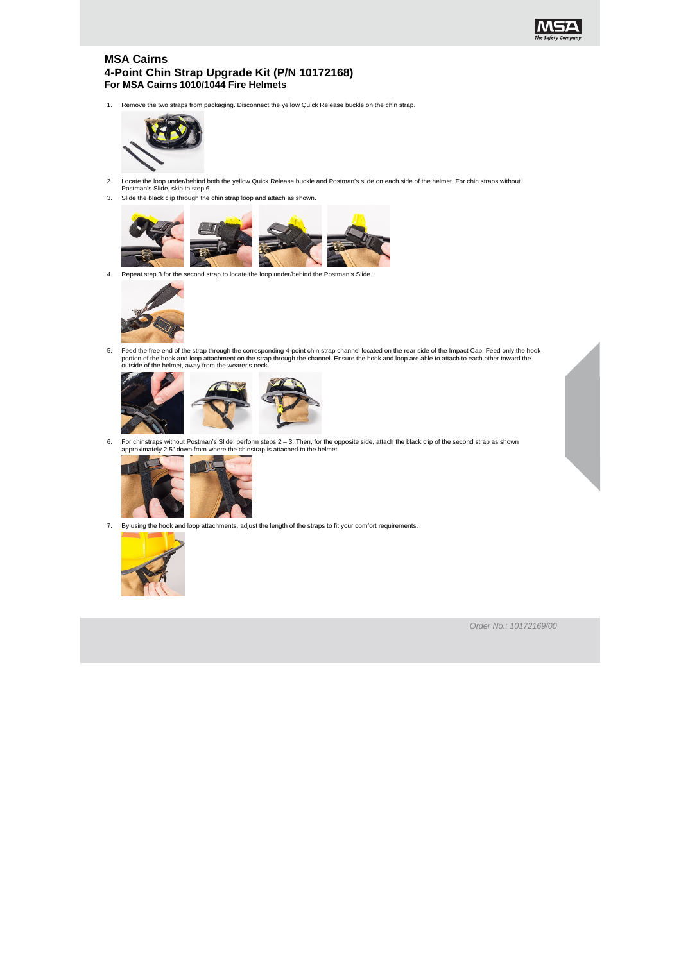

## **MSA Cairns 4-Point Chin Strap Upgrade Kit (P/N 10172168) For MSA Cairns 1010/1044 Fire Helmets**

1. Remove the two straps from packaging. Disconnect the yellow Quick Release buckle on the chin strap.



- 2. Locate the loop under/behind both the yellow Quick Release buckle and Postman's slide on each side of the helmet. For chin straps without Postman's Slide, skip to step 6.
- 3. Slide the black clip through the chin strap loop and attach as shown.



4. Repeat step 3 for the second strap to locate the loop under/behind the Postman's Slide.



5. Feed the free end of the strap through the corresponding 4-point chin strap channel located on the rear side of the Impact Cap. Feed only the hook portion of the hook and loop attachment on the strap through the channel. Ensure the hook and loop are able to attach to each other toward the outside of the helmet, away from the wearer's neck.



6. For chinstraps without Postman's Slide, perform steps 2 – 3. Then, for the opposite side, attach the black clip of the second strap as shown approximately 2.5" down from where the chinstrap is attached to the helmet.



7. By using the hook and loop attachments, adjust the length of the straps to fit your comfort requirements.